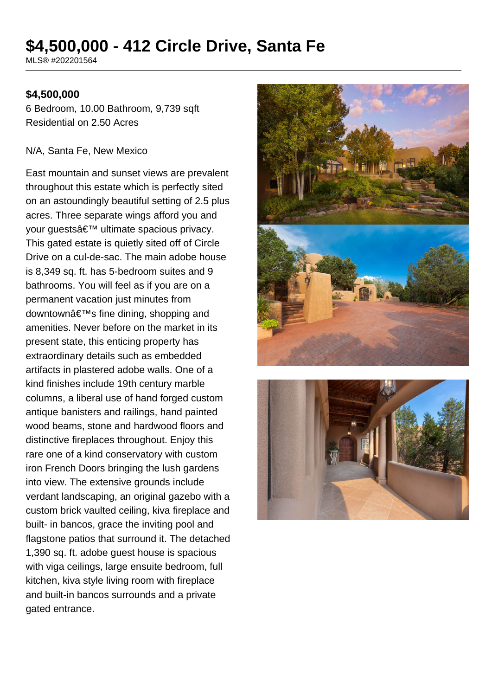# **\$4,500,000 - 412 Circle Drive, Santa Fe**

MLS® #202201564

#### **\$4,500,000**

6 Bedroom, 10.00 Bathroom, 9,739 sqft Residential on 2.50 Acres

#### N/A, Santa Fe, New Mexico

East mountain and sunset views are prevalent throughout this estate which is perfectly sited on an astoundingly beautiful setting of 2.5 plus acres. Three separate wings afford you and your quests' ultimate spacious privacy. This gated estate is quietly sited off of Circle Drive on a cul-de-sac. The main adobe house is 8,349 sq. ft. has 5-bedroom suites and 9 bathrooms. You will feel as if you are on a permanent vacation just minutes from downtown's fine dining, shopping and amenities. Never before on the market in its present state, this enticing property has extraordinary details such as embedded artifacts in plastered adobe walls. One of a kind finishes include 19th century marble columns, a liberal use of hand forged custom antique banisters and railings, hand painted wood beams, stone and hardwood floors and distinctive fireplaces throughout. Enjoy this rare one of a kind conservatory with custom iron French Doors bringing the lush gardens into view. The extensive grounds include verdant landscaping, an original gazebo with a custom brick vaulted ceiling, kiva fireplace and built- in bancos, grace the inviting pool and flagstone patios that surround it. The detached 1,390 sq. ft. adobe guest house is spacious with viga ceilings, large ensuite bedroom, full kitchen, kiva style living room with fireplace and built-in bancos surrounds and a private gated entrance.



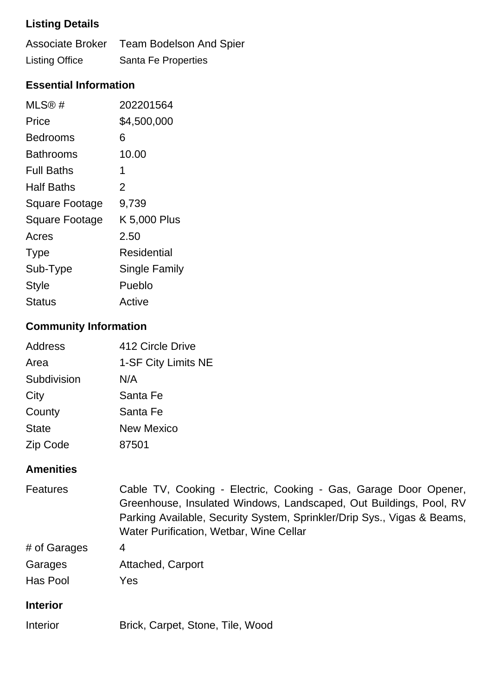# **Listing Details**

|                       | Associate Broker Team Bodelson And Spier |
|-----------------------|------------------------------------------|
| <b>Listing Office</b> | Santa Fe Properties                      |

### **Essential Information**

| MLS@#                 | 202201564            |
|-----------------------|----------------------|
| Price                 | \$4,500,000          |
| Bedrooms              | 6                    |
| <b>Bathrooms</b>      | 10.00                |
| <b>Full Baths</b>     | 1                    |
| <b>Half Baths</b>     | 2                    |
| <b>Square Footage</b> | 9,739                |
| <b>Square Footage</b> | K 5,000 Plus         |
| Acres                 | 2.50                 |
| <b>Type</b>           | Residential          |
| Sub-Type              | <b>Single Family</b> |
| <b>Style</b>          | Pueblo               |
| Status                | Active               |

# **Community Information**

| Address      | 412 Circle Drive    |
|--------------|---------------------|
| Area         | 1-SF City Limits NE |
| Subdivision  | N/A                 |
| City         | Santa Fe            |
| County       | Santa Fe            |
| <b>State</b> | <b>New Mexico</b>   |
| Zip Code     | 87501               |
|              |                     |

### **Amenities**

| <b>Features</b> | Cable TV, Cooking - Electric, Cooking - Gas, Garage Door Opener,<br>Greenhouse, Insulated Windows, Landscaped, Out Buildings, Pool, RV<br>Parking Available, Security System, Sprinkler/Drip Sys., Vigas & Beams,<br>Water Purification, Wetbar, Wine Cellar |
|-----------------|--------------------------------------------------------------------------------------------------------------------------------------------------------------------------------------------------------------------------------------------------------------|
| # of Garages    | 4                                                                                                                                                                                                                                                            |
| Garages         | Attached, Carport                                                                                                                                                                                                                                            |
| Has Pool        | Yes                                                                                                                                                                                                                                                          |
| <b>Interior</b> |                                                                                                                                                                                                                                                              |
| Interior        | Brick, Carpet, Stone, Tile, Wood                                                                                                                                                                                                                             |